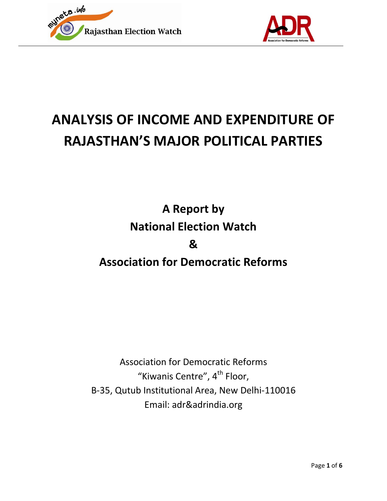



# **ANALYSIS OF INCOME AND EXPENDITURE OF RAJASTHAN'S MAJOR POLITICAL PARTIES**

**A Report by National Election Watch & Association for Democratic Reforms**

Association for Democratic Reforms "Kiwanis Centre", 4<sup>th</sup> Floor, B-35, Qutub Institutional Area, New Delhi-110016 Email: adr&adrindia.org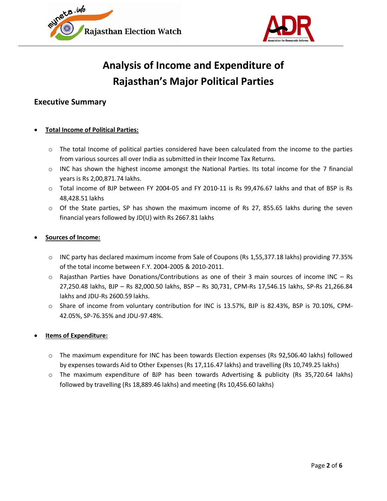



## **Analysis of Income and Expenditure of Rajasthan's Major Political Parties**

### **Executive Summary**

#### **Total Income of Political Parties:**

- o The total Income of political parties considered have been calculated from the income to the parties from various sources all over India as submitted in their Income Tax Returns.
- o INC has shown the highest income amongst the National Parties. Its total income for the 7 financial years is Rs 2,00,871.74 lakhs.
- o Total income of BJP between FY 2004-05 and FY 2010-11 is Rs 99,476.67 lakhs and that of BSP is Rs 48,428.51 lakhs
- $\circ$  Of the State parties, SP has shown the maximum income of Rs 27, 855.65 lakhs during the seven financial years followed by JD(U) with Rs 2667.81 lakhs

#### **Sources of Income:**

- o INC party has declared maximum income from Sale of Coupons (Rs 1,55,377.18 lakhs) providing 77.35% of the total income between F.Y. 2004-2005 & 2010-2011.
- $\circ$  Rajasthan Parties have Donations/Contributions as one of their 3 main sources of income INC Rs 27,250.48 lakhs, BJP – Rs 82,000.50 lakhs, BSP – Rs 30,731, CPM-Rs 17,546.15 lakhs, SP-Rs 21,266.84 lakhs and JDU-Rs 2600.59 lakhs.
- o Share of income from voluntary contribution for INC is 13.57%, BJP is 82.43%, BSP is 70.10%, CPM-42.05%, SP-76.35% and JDU-97.48%.

#### **Items of Expenditure:**

- o The maximum expenditure for INC has been towards Election expenses (Rs 92,506.40 lakhs) followed by expenses towards Aid to Other Expenses (Rs 17,116.47 lakhs) and travelling (Rs 10,749.25 lakhs)
- o The maximum expenditure of BJP has been towards Advertising & publicity (Rs 35,720.64 lakhs) followed by travelling (Rs 18,889.46 lakhs) and meeting (Rs 10,456.60 lakhs)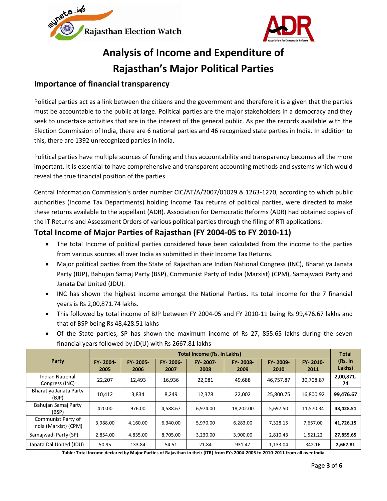



## **Analysis of Income and Expenditure of Rajasthan's Major Political Parties**

## **Importance of financial transparency**

Political parties act as a link between the citizens and the government and therefore it is a given that the parties must be accountable to the public at large. Political parties are the major stakeholders in a democracy and they seek to undertake activities that are in the interest of the general public. As per the records available with the Election Commission of India, there are 6 national parties and 46 recognized state parties in India. In addition to this, there are 1392 unrecognized parties in India.

Political parties have multiple sources of funding and thus accountability and transparency becomes all the more important. It is essential to have comprehensive and transparent accounting methods and systems which would reveal the true financial position of the parties.

Central Information Commission's order number CIC/AT/A/2007/01029 & 1263-1270, according to which public authorities (Income Tax Departments) holding Income Tax returns of political parties, were directed to make these returns available to the appellant (ADR). Association for Democratic Reforms (ADR) had obtained copies of the IT Returns and Assessment Orders of various political parties through the filing of RTI applications.

## **Total Income of Major Parties of Rajasthan (FY 2004-05 to FY 2010-11)**

- The total Income of political parties considered have been calculated from the income to the parties from various sources all over India as submitted in their Income Tax Returns.
- Major political parties from the State of Rajasthan are Indian National Congress (INC), Bharatiya Janata Party (BJP), Bahujan Samaj Party (BSP), Communist Party of India (Marxist) (CPM), Samajwadi Party and Janata Dal United (JDU).
- INC has shown the highest income amongst the National Parties. Its total income for the 7 financial years is Rs 2,00,871.74 lakhs.
- This followed by total income of BJP between FY 2004-05 and FY 2010-11 being Rs 99,476.67 lakhs and that of BSP being Rs 48,428.51 lakhs
- Of the State parties, SP has shown the maximum income of Rs 27, 855.65 lakhs during the seven financial years followed by JD(U) with Rs 2667.81 lakhs

|                                             | <b>Total Income (Rs. In Lakhs)</b> |                  |                  |                  |                  |                  |                  | <b>Total</b>      |
|---------------------------------------------|------------------------------------|------------------|------------------|------------------|------------------|------------------|------------------|-------------------|
| Party                                       | FY-2004-<br>2005                   | FY-2005-<br>2006 | FY-2006-<br>2007 | FY-2007-<br>2008 | FY-2008-<br>2009 | FY-2009-<br>2010 | FY-2010-<br>2011 | (Rs. In<br>Lakhs) |
| Indian National<br>Congress (INC)           | 22,207                             | 12.493           | 16,936           | 22,081           | 49,688           | 46.757.87        | 30,708.87        | 2,00,871.<br>74   |
| Bharatiya Janata Party<br>(BJP)             | 10.412                             | 3,834            | 8,249            | 12,378           | 22,002           | 25,800.75        | 16,800.92        | 99,476.67         |
| Bahujan Samaj Party<br>(BSP)                | 420.00                             | 976.00           | 4,588.67         | 6.974.00         | 18,202.00        | 5,697.50         | 11,570.34        | 48.428.51         |
| Communist Party of<br>India (Marxist) (CPM) | 3.988.00                           | 4.160.00         | 6.340.00         | 5.970.00         | 6.283.00         | 7.328.15         | 7.657.00         | 41.726.15         |
| Samajwadi Party (SP)                        | 2.854.00                           | 4.835.00         | 8,705.00         | 3,230.00         | 3,900.00         | 2,810.43         | 1,521.22         | 27,855.65         |
| Janata Dal United (JDU)                     | 50.95                              | 133.84           | 54.51            | 21.84            | 931.47           | 1,133.04         | 342.16           | 2,667.81          |

**Table: Total Income declared by Major Parties of Rajasthan in their (ITR) from FYs 2004-2005 to 2010-2011 from all over India**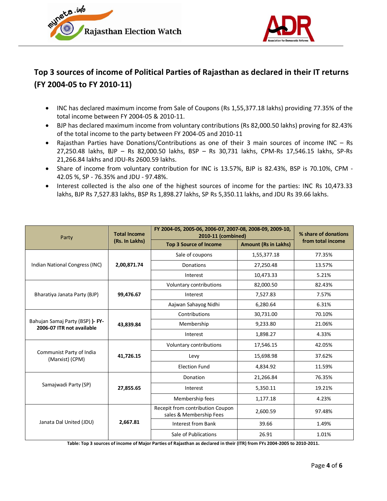



## **Top 3 sources of income of Political Parties of Rajasthan as declared in their IT returns (FY 2004-05 to FY 2010-11)**

- INC has declared maximum income from Sale of Coupons (Rs 1,55,377.18 lakhs) providing 77.35% of the total income between FY 2004-05 & 2010-11.
- BJP has declared maximum income from voluntary contributions (Rs 82,000.50 lakhs) proving for 82.43% of the total income to the party between FY 2004-05 and 2010-11
- Rajasthan Parties have Donations/Contributions as one of their 3 main sources of income INC Rs 27,250.48 lakhs, BJP – Rs 82,000.50 lakhs, BSP – Rs 30,731 lakhs, CPM-Rs 17,546.15 lakhs, SP-Rs 21,266.84 lakhs and JDU-Rs 2600.59 lakhs.
- Share of income from voluntary contribution for INC is 13.57%, BJP is 82.43%, BSP is 70.10%, CPM 42.05 %, SP - 76.35% and JDU - 97.48%.
- Interest collected is the also one of the highest sources of income for the parties: INC Rs 10,473.33 lakhs, BJP Rs 7,527.83 lakhs, BSP Rs 1,898.27 lakhs, SP Rs 5,350.11 lakhs, and JDU Rs 39.66 lakhs.

| Party                                                         | <b>Total Income</b> | FY 2004-05, 2005-06, 2006-07, 2007-08, 2008-09, 2009-10,<br>2010-11 (combined) | % share of donations        |                   |  |
|---------------------------------------------------------------|---------------------|--------------------------------------------------------------------------------|-----------------------------|-------------------|--|
|                                                               | (Rs. In Lakhs)      | <b>Top 3 Source of Income</b>                                                  | <b>Amount (Rs in Lakhs)</b> | from total income |  |
|                                                               | 2,00,871.74         | Sale of coupons                                                                | 1,55,377.18                 | 77.35%            |  |
| Indian National Congress (INC)                                |                     | Donations                                                                      | 27,250.48                   | 13.57%            |  |
|                                                               |                     | Interest                                                                       | 10,473.33                   | 5.21%             |  |
|                                                               | 99,476.67           | Voluntary contributions                                                        | 82,000.50                   | 82.43%            |  |
| Bharatiya Janata Party (BJP)                                  |                     | Interest                                                                       | 7,527.83                    | 7.57%             |  |
|                                                               |                     | Aajwan Sahayog Nidhi                                                           | 6,280.64                    | 6.31%             |  |
| Bahujan Samaj Party (BSP) )- FY-<br>2006-07 ITR not available | 43,839.84           | Contributions                                                                  | 30,731.00                   | 70.10%            |  |
|                                                               |                     | Membership                                                                     | 9,233.80                    | 21.06%            |  |
|                                                               |                     | Interest                                                                       | 1,898.27                    | 4.33%             |  |
|                                                               | 41,726.15           | Voluntary contributions                                                        | 17,546.15                   | 42.05%            |  |
| Communist Party of India<br>(Marxist) (CPM)                   |                     | Levy                                                                           | 15,698.98                   | 37.62%            |  |
|                                                               |                     | <b>Election Fund</b>                                                           | 4,834.92                    | 11.59%            |  |
|                                                               |                     | Donation                                                                       | 21,266.84                   | 76.35%            |  |
| Samajwadi Party (SP)                                          | 27,855.65           | Interest                                                                       | 5,350.11                    | 19.21%            |  |
|                                                               |                     | Membership fees                                                                | 1,177.18                    | 4.23%             |  |
|                                                               | 2,667.81            | Recepit from contribution Coupon<br>sales & Membership Fees                    | 2,600.59                    | 97.48%            |  |
| Janata Dal United (JDU)                                       |                     | <b>Interest from Bank</b>                                                      | 39.66                       | 1.49%             |  |
|                                                               |                     | Sale of Publications                                                           | 26.91                       | 1.01%             |  |

**Table: Top 3 sources of income of Major Parties of Rajasthan as declared in their (ITR) from FYs 2004-2005 to 2010-2011.**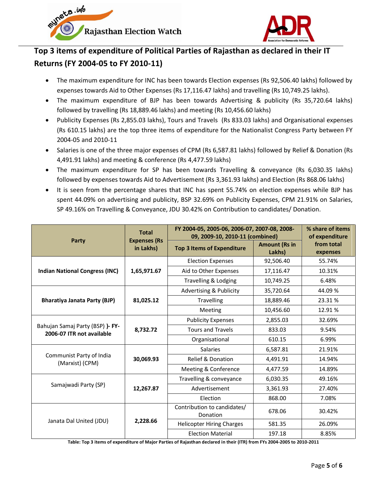



## **Top 3 items of expenditure of Political Parties of Rajasthan as declared in their IT Returns (FY 2004-05 to FY 2010-11)**

- The maximum expenditure for INC has been towards Election expenses (Rs 92,506.40 lakhs) followed by expenses towards Aid to Other Expenses (Rs 17,116.47 lakhs) and travelling (Rs 10,749.25 lakhs).
- The maximum expenditure of BJP has been towards Advertising & publicity (Rs 35,720.64 lakhs) followed by travelling (Rs 18,889.46 lakhs) and meeting (Rs 10,456.60 lakhs)
- Publicity Expenses (Rs 2,855.03 lakhs), Tours and Travels (Rs 833.03 lakhs) and Organisational expenses (Rs 610.15 lakhs) are the top three items of expenditure for the Nationalist Congress Party between FY 2004-05 and 2010-11
- Salaries is one of the three major expenses of CPM (Rs 6,587.81 lakhs) followed by Relief & Donation (Rs 4,491.91 lakhs) and meeting & conference (Rs 4,477.59 lakhs)
- The maximum expenditure for SP has been towards Travelling & conveyance (Rs 6,030.35 lakhs) followed by expenses towards Aid to Advertisement (Rs 3,361.93 lakhs) and Election (Rs 868.06 lakhs)
- It is seen from the percentage shares that INC has spent 55.74% on election expenses while BJP has spent 44.09% on advertising and publicity, BSP 32.69% on Publicity Expenses, CPM 21.91% on Salaries, SP 49.16% on Travelling & Conveyance, JDU 30.42% on Contribution to candidates/ Donation.

|                                                               | <b>Total</b>                     | FY 2004-05, 2005-06, 2006-07, 2007-08, 2008-<br>09, 2009-10, 2010-11 (combined) | % share of items<br>of expenditure |                        |
|---------------------------------------------------------------|----------------------------------|---------------------------------------------------------------------------------|------------------------------------|------------------------|
| Party                                                         | <b>Expenses (Rs</b><br>in Lakhs) | <b>Top 3 Items of Expenditure</b>                                               | <b>Amount (Rs in</b><br>Lakhs)     | from total<br>expenses |
|                                                               | 1,65,971.67                      | <b>Election Expenses</b>                                                        | 92,506.40                          | 55.74%                 |
| <b>Indian National Congress (INC)</b>                         |                                  | Aid to Other Expenses                                                           | 17,116.47                          | 10.31%                 |
|                                                               |                                  | Travelling & Lodging                                                            | 10,749.25                          | 6.48%                  |
|                                                               |                                  | Advertising & Publicity                                                         | 35,720.64                          | 44.09 %                |
| Bharatiya Janata Party (BJP)                                  | 81,025.12                        | <b>Travelling</b>                                                               | 18,889.46                          | 23.31 %                |
|                                                               |                                  | Meeting                                                                         | 10,456.60                          | 12.91%                 |
| Bahujan Samaj Party (BSP) )- FY-<br>2006-07 ITR not available | 8,732.72                         | <b>Publicity Expenses</b>                                                       | 2,855.03                           | 32.69%                 |
|                                                               |                                  | Tours and Travels                                                               | 833.03                             | 9.54%                  |
|                                                               |                                  | Organisational                                                                  | 610.15                             | 6.99%                  |
|                                                               | 30,069.93                        | <b>Salaries</b>                                                                 | 6,587.81                           | 21.91%                 |
| Communist Party of India<br>(Marxist) (CPM)                   |                                  | <b>Relief &amp; Donation</b>                                                    | 4,491.91                           | 14.94%                 |
|                                                               |                                  | Meeting & Conference                                                            | 4,477.59                           | 14.89%                 |
|                                                               | 12,267.87                        | Travelling & conveyance                                                         | 6,030.35                           | 49.16%                 |
| Samajwadi Party (SP)                                          |                                  | Advertisement                                                                   | 3,361.93                           | 27.40%                 |
|                                                               |                                  | Election                                                                        | 868.00                             | 7.08%                  |
|                                                               | 2,228.66                         | Contribution to candidates/<br>Donation                                         | 678.06                             | 30.42%                 |
| Janata Dal United (JDU)                                       |                                  | <b>Helicopter Hiring Charges</b>                                                | 581.35                             | 26.09%                 |
|                                                               |                                  | <b>Election Material</b>                                                        | 197.18                             | 8.85%                  |

**Table: Top 3 items of expenditure of Major Parties of Rajasthan declared in their (ITR) from FYs 2004-2005 to 2010-2011**